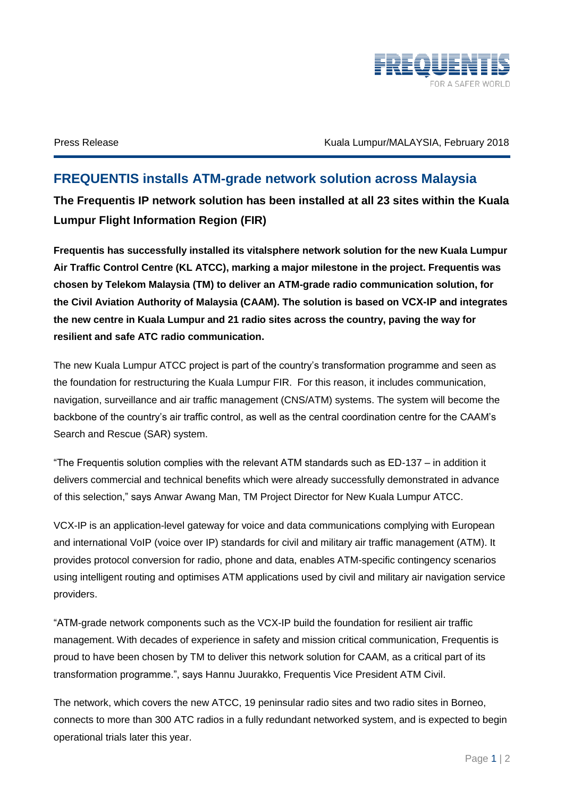

Press Release **Kuala Lumpur/MALAYSIA, February 2018** 

## **FREQUENTIS installs ATM-grade network solution across Malaysia The Frequentis IP network solution has been installed at all 23 sites within the Kuala Lumpur Flight Information Region (FIR)**

**Frequentis has successfully installed its vitalsphere network solution for the new Kuala Lumpur Air Traffic Control Centre (KL ATCC), marking a major milestone in the project. Frequentis was chosen by Telekom Malaysia (TM) to deliver an ATM-grade radio communication solution, for the Civil Aviation Authority of Malaysia (CAAM). The solution is based on VCX-IP and integrates the new centre in Kuala Lumpur and 21 radio sites across the country, paving the way for resilient and safe ATC radio communication.**

The new Kuala Lumpur ATCC project is part of the country's transformation programme and seen as the foundation for restructuring the Kuala Lumpur FIR. For this reason, it includes communication, navigation, surveillance and air traffic management (CNS/ATM) systems. The system will become the backbone of the country's air traffic control, as well as the central coordination centre for the CAAM's Search and Rescue (SAR) system.

"The Frequentis solution complies with the relevant ATM standards such as ED-137 – in addition it delivers commercial and technical benefits which were already successfully demonstrated in advance of this selection," says Anwar Awang Man, TM Project Director for New Kuala Lumpur ATCC.

VCX-IP is an application-level gateway for voice and data communications complying with European and international VoIP (voice over IP) standards for civil and military air traffic management (ATM). It provides protocol conversion for radio, phone and data, enables ATM-specific contingency scenarios using intelligent routing and optimises ATM applications used by civil and military air navigation service providers.

"ATM-grade network components such as the VCX-IP build the foundation for resilient air traffic management. With decades of experience in safety and mission critical communication, Frequentis is proud to have been chosen by TM to deliver this network solution for CAAM, as a critical part of its transformation programme.", says Hannu Juurakko, Frequentis Vice President ATM Civil.

The network, which covers the new ATCC, 19 peninsular radio sites and two radio sites in Borneo, connects to more than 300 ATC radios in a fully redundant networked system, and is expected to begin operational trials later this year.